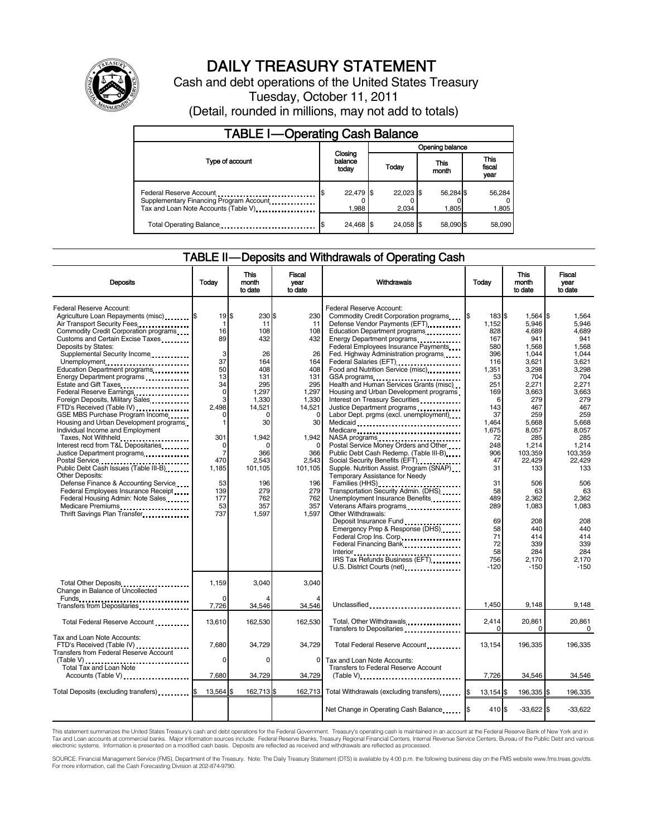

# DAILY TREASURY STATEMENT

Cash and debt operations of the United States Treasury Tuesday, October 11, 2011

(Detail, rounded in millions, may not add to totals)

| <b>TABLE I-Operating Cash Balance</b>                                                                      |                             |                        |                    |                               |  |  |  |
|------------------------------------------------------------------------------------------------------------|-----------------------------|------------------------|--------------------|-------------------------------|--|--|--|
|                                                                                                            |                             |                        | Opening balance    |                               |  |  |  |
| Type of account                                                                                            | Closing<br>balance<br>today | This<br>Today<br>month |                    | <b>This</b><br>fiscal<br>year |  |  |  |
| Federal Reserve Account<br>Supplementary Financing Program Account<br>Tax and Loan Note Accounts (Table V) | 22,479 \$<br>1,988          | 22,023 \$<br>2.034     | 56,284 \$<br>1,805 | 56,284<br>1,805               |  |  |  |
| Total Operating Balance                                                                                    | 24.468 \$                   | 24.058 \$              | 58.090 \$          | 58,090                        |  |  |  |

#### TABLE II — Deposits and Withdrawals of Operating Cash

| <b>Deposits</b>                                                                                                                                                                                                                                                                                                                                                                                                                                                                                                                                                                                                                                                                                                                                                                                                                                                                                                                       | Todav                                                                                                                                                         | This<br>month<br>to date                                                                                                                                                                        | Fiscal<br>vear<br>to date                                                                                                                                                                       | Withdrawals                                                                                                                                                                                                                                                                                                                                                                                                                                                                                                                                                                                                                                                                                                                                                                                                                                                                                                                                                                                                                              | Today                                                                                                                                                                                                                        | <b>This</b><br>month<br>to date                                                                                                                                                                                                                                          | Fiscal<br>year<br>to date                                                                                                                                                                                                                                           |
|---------------------------------------------------------------------------------------------------------------------------------------------------------------------------------------------------------------------------------------------------------------------------------------------------------------------------------------------------------------------------------------------------------------------------------------------------------------------------------------------------------------------------------------------------------------------------------------------------------------------------------------------------------------------------------------------------------------------------------------------------------------------------------------------------------------------------------------------------------------------------------------------------------------------------------------|---------------------------------------------------------------------------------------------------------------------------------------------------------------|-------------------------------------------------------------------------------------------------------------------------------------------------------------------------------------------------|-------------------------------------------------------------------------------------------------------------------------------------------------------------------------------------------------|------------------------------------------------------------------------------------------------------------------------------------------------------------------------------------------------------------------------------------------------------------------------------------------------------------------------------------------------------------------------------------------------------------------------------------------------------------------------------------------------------------------------------------------------------------------------------------------------------------------------------------------------------------------------------------------------------------------------------------------------------------------------------------------------------------------------------------------------------------------------------------------------------------------------------------------------------------------------------------------------------------------------------------------|------------------------------------------------------------------------------------------------------------------------------------------------------------------------------------------------------------------------------|--------------------------------------------------------------------------------------------------------------------------------------------------------------------------------------------------------------------------------------------------------------------------|---------------------------------------------------------------------------------------------------------------------------------------------------------------------------------------------------------------------------------------------------------------------|
| Federal Reserve Account:<br>Agriculture Loan Repayments (misc) \$<br>Air Transport Security Fees<br>Commodity Credit Corporation programs<br>Customs and Certain Excise Taxes<br>Deposits by States:<br>Supplemental Security Income<br>Unemployment<br>Education Department programs<br>Energy Department programs<br>Estate and Gift Taxes<br>Federal Reserve Earnings<br>Foreign Deposits, Military Sales<br>FTD's Received (Table IV)<br>GSE MBS Purchase Program Income<br>Housing and Urban Development programs<br>Individual Income and Employment<br>Taxes, Not Withheld<br>Interest recd from T&L Depositaries<br>Justice Department programs<br>Postal Service<br>Public Debt Cash Issues (Table III-B)<br>1999 - Table III-B)<br>Other Deposits:<br>Defense Finance & Accounting Service<br>Federal Employees Insurance Receipt<br>Federal Housing Admin: Note Sales<br>Medicare Premiums<br>Thrift Savings Plan Transfer | 19S<br>1<br>16<br>89<br>3<br>37<br>50<br>13<br>34<br>0<br>3<br>2.498<br>0<br>1<br>301<br>0<br>$\overline{7}$<br>470<br>1,185<br>53<br>139<br>177<br>53<br>737 | 230 \$<br>11<br>108<br>432<br>26<br>164<br>408<br>131<br>295<br>1,297<br>1,330<br>14,521<br>$\Omega$<br>30<br>1,942<br>$\Omega$<br>366<br>2,543<br>101,105<br>196<br>279<br>762<br>357<br>1,597 | 230<br>11<br>108<br>432<br>26<br>164<br>408<br>131<br>295<br>1,297<br>1,330<br>14,521<br>$\mathbf 0$<br>30<br>1,942<br>$\Omega$<br>366<br>2.543<br>101,105<br>196<br>279<br>762<br>357<br>1,597 | Federal Reserve Account:<br>Commodity Credit Corporation programs<br>Defense Vendor Payments (EFT)<br>Education Department programs<br>Energy Department programs<br><br>Federal Employees Insurance Payments<br>Fed. Highway Administration programs<br>Federal Salaries (EFT)<br>Food and Nutrition Service (misc)<br>GSA programs<br>Health and Human Services Grants (misc)<br>Housing and Urban Development programs<br>Interest on Treasury Securities<br>Justice Department programs<br>Labor Dept. prgms (excl. unemployment)<br>Medicare<br>NASA programs<br>Postal Service Money Orders and Other<br>Public Debt Cash Redemp. (Table III-B)<br>Supple. Nutrition Assist. Program (SNAP)<br>Temporary Assistance for Needy<br>Families (HHS)<br>Transportation Security Admin. (DHS)<br>Unemployment Insurance Benefits<br>Other Withdrawals:<br>Deposit Insurance Fund<br>Emergency Prep & Response (DHS)<br>Federal Crop Ins. Corp.<br>Federal Financing Bank<br>IRS Tax Refunds Business (EFT)<br>U.S. District Courts (net) | 183 \$<br>1,152<br>828<br>167<br>580<br>396<br>116<br>1,351<br>53<br>251<br>169<br>6<br>143<br>37<br>1.464<br>1,675<br>72<br>248<br>906<br>47<br>31<br>31<br>58<br>489<br>289<br>69<br>58<br>71<br>72<br>58<br>756<br>$-120$ | $1,564$ \$<br>5,946<br>4,689<br>941<br>1.568<br>1,044<br>3,621<br>3,298<br>704<br>2,271<br>3,663<br>279<br>467<br>259<br>5.668<br>8,057<br>285<br>1,214<br>103,359<br>22.429<br>133<br>506<br>63<br>2.362<br>1,083<br>208<br>440<br>414<br>339<br>284<br>2,170<br>$-150$ | 1,564<br>5,946<br>4,689<br>941<br>1.568<br>1,044<br>3,621<br>3,298<br>704<br>2.271<br>3,663<br>279<br>467<br>259<br>5.668<br>8,057<br>285<br>1,214<br>103.359<br>22.429<br>133<br>506<br>63<br>2.362<br>1,083<br>208<br>440<br>414<br>339<br>284<br>2,170<br>$-150$ |
| Total Other Deposits<br>Change in Balance of Uncollected                                                                                                                                                                                                                                                                                                                                                                                                                                                                                                                                                                                                                                                                                                                                                                                                                                                                              | 1,159<br>O                                                                                                                                                    | 3.040                                                                                                                                                                                           | 3.040                                                                                                                                                                                           |                                                                                                                                                                                                                                                                                                                                                                                                                                                                                                                                                                                                                                                                                                                                                                                                                                                                                                                                                                                                                                          |                                                                                                                                                                                                                              |                                                                                                                                                                                                                                                                          |                                                                                                                                                                                                                                                                     |
|                                                                                                                                                                                                                                                                                                                                                                                                                                                                                                                                                                                                                                                                                                                                                                                                                                                                                                                                       | 7,726                                                                                                                                                         | 34,546                                                                                                                                                                                          | 34,546                                                                                                                                                                                          | Unclassified                                                                                                                                                                                                                                                                                                                                                                                                                                                                                                                                                                                                                                                                                                                                                                                                                                                                                                                                                                                                                             | 1,450                                                                                                                                                                                                                        | 9,148                                                                                                                                                                                                                                                                    | 9,148                                                                                                                                                                                                                                                               |
| Total Federal Reserve Account                                                                                                                                                                                                                                                                                                                                                                                                                                                                                                                                                                                                                                                                                                                                                                                                                                                                                                         | 13.610                                                                                                                                                        | 162.530                                                                                                                                                                                         | 162.530                                                                                                                                                                                         | Total, Other Withdrawals<br>Transfers to Depositaries                                                                                                                                                                                                                                                                                                                                                                                                                                                                                                                                                                                                                                                                                                                                                                                                                                                                                                                                                                                    | 2,414<br>$\Omega$                                                                                                                                                                                                            | 20,861<br>$\Omega$                                                                                                                                                                                                                                                       | 20,861<br>0                                                                                                                                                                                                                                                         |
| Tax and Loan Note Accounts:<br>FTD's Received (Table IV)<br><b>Transfers from Federal Reserve Account</b>                                                                                                                                                                                                                                                                                                                                                                                                                                                                                                                                                                                                                                                                                                                                                                                                                             | 7,680                                                                                                                                                         | 34,729                                                                                                                                                                                          | 34,729                                                                                                                                                                                          | Total Federal Reserve Account                                                                                                                                                                                                                                                                                                                                                                                                                                                                                                                                                                                                                                                                                                                                                                                                                                                                                                                                                                                                            | 13,154                                                                                                                                                                                                                       | 196,335                                                                                                                                                                                                                                                                  | 196,335                                                                                                                                                                                                                                                             |
| (Table V)<br>Total Tax and Loan Note<br>Accounts (Table V)                                                                                                                                                                                                                                                                                                                                                                                                                                                                                                                                                                                                                                                                                                                                                                                                                                                                            | $\Omega$<br>7,680                                                                                                                                             | $\Omega$<br>34,729                                                                                                                                                                              | 0<br>34,729                                                                                                                                                                                     | Tax and Loan Note Accounts:<br>Transfers to Federal Reserve Account<br>$(Table V)$                                                                                                                                                                                                                                                                                                                                                                                                                                                                                                                                                                                                                                                                                                                                                                                                                                                                                                                                                       | 7,726                                                                                                                                                                                                                        | 34,546                                                                                                                                                                                                                                                                   | 34,546                                                                                                                                                                                                                                                              |
| Total Deposits (excluding transfers) [1994]                                                                                                                                                                                                                                                                                                                                                                                                                                                                                                                                                                                                                                                                                                                                                                                                                                                                                           | 13,564 \$                                                                                                                                                     | 162,713 \$                                                                                                                                                                                      |                                                                                                                                                                                                 | 162,713 Total Withdrawals (excluding transfers)                                                                                                                                                                                                                                                                                                                                                                                                                                                                                                                                                                                                                                                                                                                                                                                                                                                                                                                                                                                          | 13,154 \$                                                                                                                                                                                                                    | 196,335 \$                                                                                                                                                                                                                                                               | 196,335                                                                                                                                                                                                                                                             |
|                                                                                                                                                                                                                                                                                                                                                                                                                                                                                                                                                                                                                                                                                                                                                                                                                                                                                                                                       |                                                                                                                                                               |                                                                                                                                                                                                 |                                                                                                                                                                                                 | Net Change in Operating Cash Balance                                                                                                                                                                                                                                                                                                                                                                                                                                                                                                                                                                                                                                                                                                                                                                                                                                                                                                                                                                                                     | 410 \$                                                                                                                                                                                                                       | $-33,622$ \$                                                                                                                                                                                                                                                             | $-33,622$                                                                                                                                                                                                                                                           |

This statement summarizes the United States Treasury's cash and debt operations for the Federal Government. Treasury's operating cash is maintained in an account at the Federal Reserve Bank of New York and in<br>Tax and Loan

SOURCE: Financial Management Service (FMS), Department of the Treasury. Note: The Daily Treasury Statement (DTS) is available by 4:00 p.m. the following business day on the FMS website www.fms.treas.gov/dts.<br>For more infor